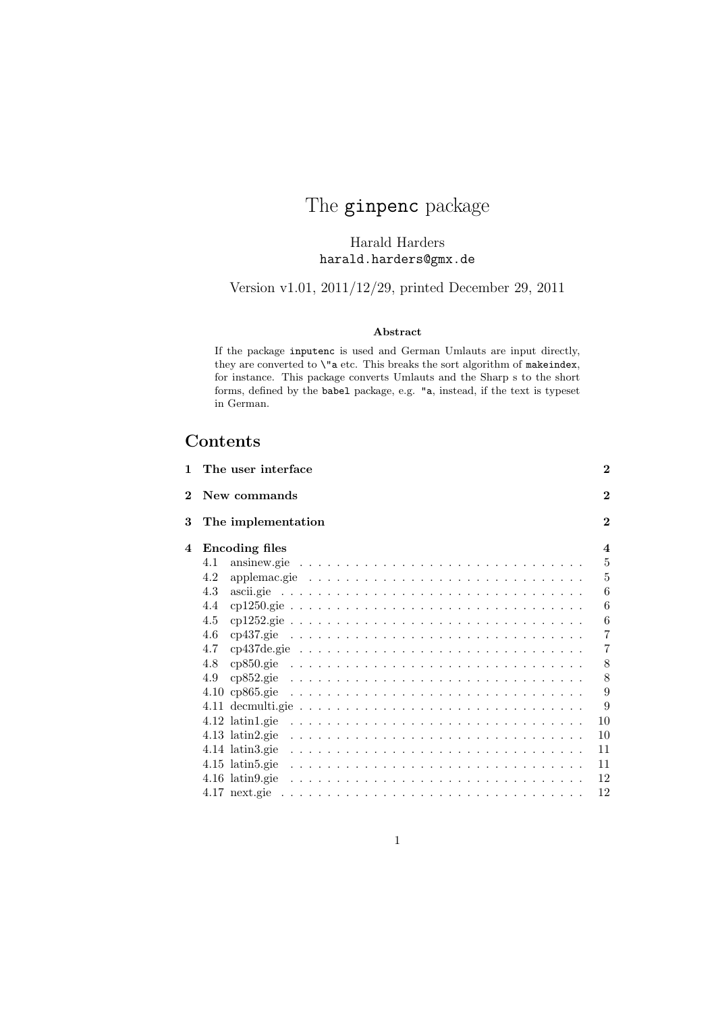# The ginpenc package

Harald Harders harald.harders@gmx.de

Version v1.01, 2011/12/29, printed December 29, 2011

#### Abstract

If the package inputenc is used and German Umlauts are input directly, they are converted to  $\iota$ "a etc. This breaks the sort algorithm of makeindex, for instance. This package converts Umlauts and the Sharp s to the short forms, defined by the babel package, e.g. "a, instead, if the text is typeset in German.

## Contents

| 1              | The user interface                                                                                | $\bf{2}$                |
|----------------|---------------------------------------------------------------------------------------------------|-------------------------|
| $\overline{2}$ | New commands                                                                                      | $\mathbf{2}$            |
| 3              | The implementation                                                                                | $\mathbf{2}$            |
| 4              | <b>Encoding files</b>                                                                             | $\overline{\mathbf{4}}$ |
|                | ansinew.gie $\ldots \ldots \ldots \ldots \ldots \ldots \ldots \ldots \ldots \ldots$<br>4.1        | $\overline{5}$          |
|                | applemac.gie $\ldots \ldots \ldots \ldots \ldots \ldots \ldots \ldots \ldots \ldots$<br>4.2       | 5                       |
|                | 4.3                                                                                               | 6                       |
|                | 4.4                                                                                               | 6                       |
|                | 4.5                                                                                               | 6                       |
|                | 4.6<br>cp437.gie $\ldots \ldots \ldots \ldots \ldots \ldots \ldots \ldots \ldots \ldots \ldots$   | 7                       |
|                | cp437de.gie $\ldots \ldots \ldots \ldots \ldots \ldots \ldots \ldots \ldots \ldots \ldots$<br>4.7 | $\overline{7}$          |
|                | 4.8                                                                                               | 8                       |
|                | 4.9                                                                                               | 8                       |
|                | $4.10 \text{ cp}865.\text{gie}$                                                                   | 9                       |
|                |                                                                                                   | 9                       |
|                | $4.12$ latin1.gie                                                                                 | 10                      |
|                | $4.13$ latin2.gie                                                                                 | 10                      |
|                | $4.14$ latin 3.gie                                                                                | 11                      |
|                | $4.15$ latin5.gie                                                                                 | 11                      |
|                |                                                                                                   | 12                      |
|                |                                                                                                   | 12                      |
|                |                                                                                                   |                         |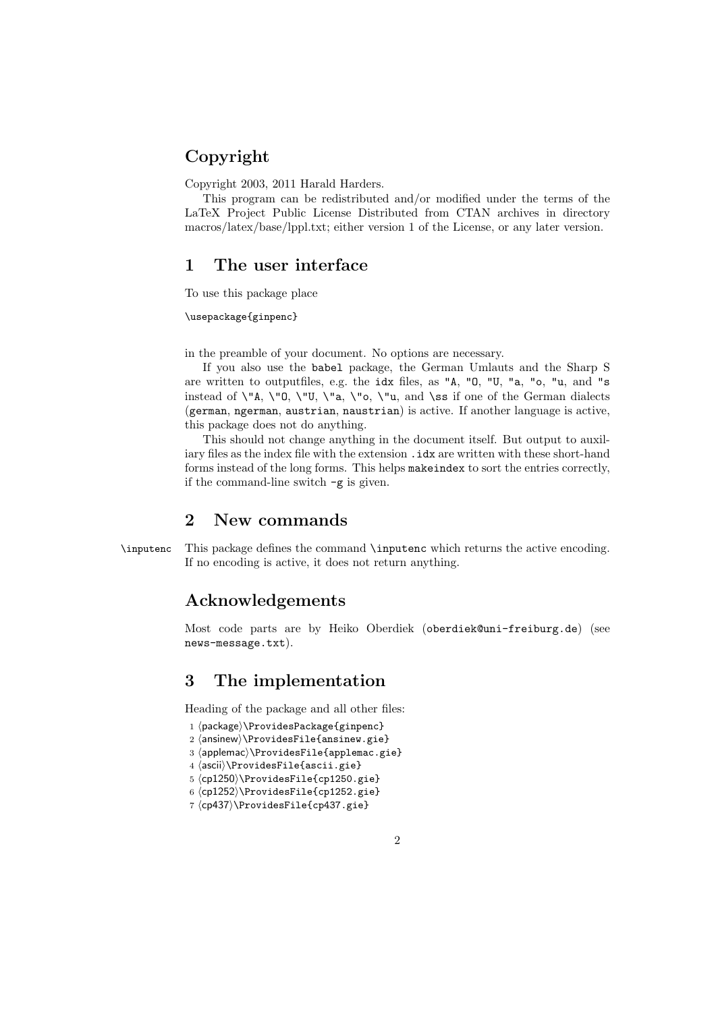## Copyright

Copyright 2003, 2011 Harald Harders.

This program can be redistributed and/or modified under the terms of the LaTeX Project Public License Distributed from CTAN archives in directory macros/latex/base/lppl.txt; either version 1 of the License, or any later version.

## 1 The user interface

To use this package place

#### \usepackage{ginpenc}

in the preamble of your document. No options are necessary.

If you also use the babel package, the German Umlauts and the Sharp S are written to outputfiles, e.g. the idx files, as "A, "O, "U, "a, "o, "u, and "s instead of  $\nabla^{\mathbf{u}}$ ,  $\nabla^{\mathbf{v}}$ ,  $\nabla^{\mathbf{u}}$ ,  $\nabla^{\mathbf{u}}$ ,  $\partial_{\mathbf{v}}$  and  $\partial_{\mathbf{v}}$  if one of the German dialects (german, ngerman, austrian, naustrian) is active. If another language is active, this package does not do anything.

This should not change anything in the document itself. But output to auxiliary files as the index file with the extension . idx are written with these short-hand forms instead of the long forms. This helps makeindex to sort the entries correctly, if the command-line switch -g is given.

### 2 New commands

\inputenc This package defines the command \inputenc which returns the active encoding. If no encoding is active, it does not return anything.

## Acknowledgements

Most code parts are by Heiko Oberdiek (oberdiek@uni-freiburg.de) (see news-message.txt).

## 3 The implementation

Heading of the package and all other files:

- 1 (package)\ProvidesPackage{ginpenc}
- $2 \langle$ ansinew $\rangle$ \ProvidesFile{ansinew.gie}
- 3 \applemac)\ProvidesFile{applemac.gie}
- 4  $\langle$ ascii $\rangle\$ ProvidesFile{ascii.gie}
- 5 (cp1250)\ProvidesFile{cp1250.gie}
- $6 \langle cpl252\rangle$ }ProvidesFile{cp1252.gie}
- $7 \langle cp437\rangle$ ProvidesFile{cp437.gie}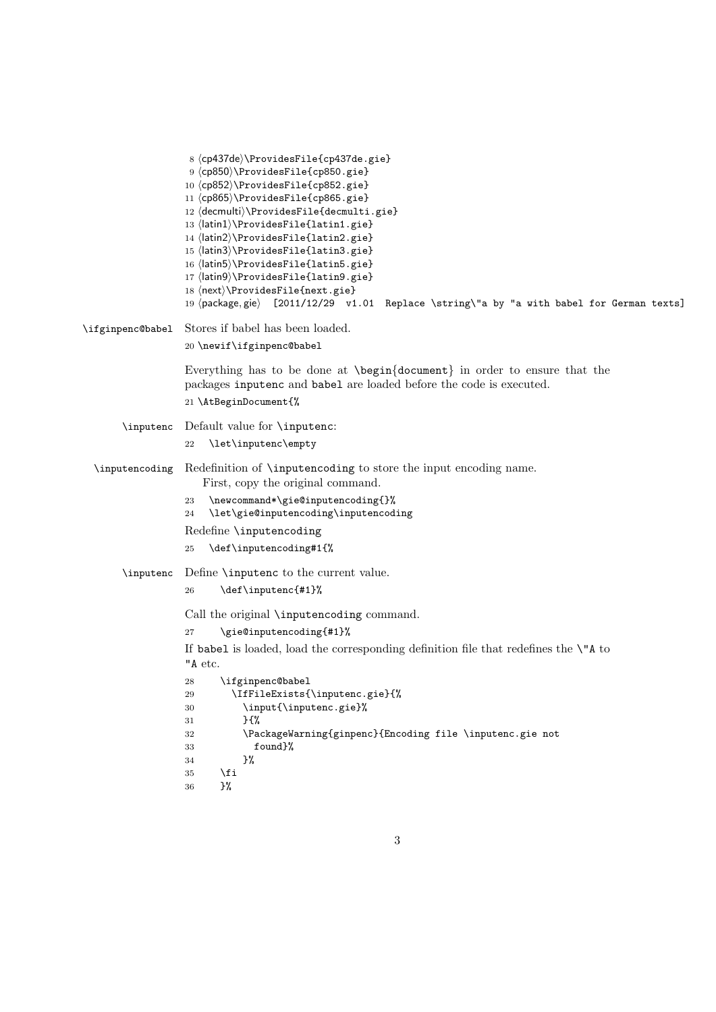| 8 (cp437de)\ProvidesFile{cp437de.gie}<br>9 (cp850)\ProvidesFile{cp850.gie}<br>10 (cp852)\ProvidesFile{cp852.gie}<br>11 (cp865) \ProvidesFile{cp865.gie}<br>12 (decmulti) \ProvidesFile{decmulti.gie}<br>13 (latin1) \ProvidesFile{latin1.gie}<br>14 (latin2) \ProvidesFile{latin2.gie}<br>15 (latin3)\ProvidesFile{latin3.gie}<br>16 (latin5) \ProvidesFile{latin5.gie}<br>17 (latin9)\ProvidesFile{latin9.gie}<br>18 (next)\ProvidesFile{next.gie}<br>19 (package, gie) [2011/12/29 v1.01 Replace \string\"a by "a with babel for German texts] |  |
|--------------------------------------------------------------------------------------------------------------------------------------------------------------------------------------------------------------------------------------------------------------------------------------------------------------------------------------------------------------------------------------------------------------------------------------------------------------------------------------------------------------------------------------------------|--|
| Stores if babel has been loaded.<br>\ifginpenc@babel                                                                                                                                                                                                                                                                                                                                                                                                                                                                                             |  |
| 20 \newif\ifginpenc@babel                                                                                                                                                                                                                                                                                                                                                                                                                                                                                                                        |  |
| Everything has to be done at $\begin{cases} document \text{ in order to ensure that the} \end{cases}$<br>packages inputenc and babel are loaded before the code is executed.<br>21 \AtBeginDocument{%                                                                                                                                                                                                                                                                                                                                            |  |
| Default value for <b>\inputenc</b> :<br>\inputenc                                                                                                                                                                                                                                                                                                                                                                                                                                                                                                |  |
| \let\inputenc\empty<br>22                                                                                                                                                                                                                                                                                                                                                                                                                                                                                                                        |  |
| Redefinition of <b>\inputencoding</b> to store the input encoding name.<br>\inputencoding<br>First, copy the original command.                                                                                                                                                                                                                                                                                                                                                                                                                   |  |
| \newcommand*\gie@inputencoding{}%<br>23<br>\let\gie@inputencoding\inputencoding<br>24                                                                                                                                                                                                                                                                                                                                                                                                                                                            |  |
| Redefine \inputencoding                                                                                                                                                                                                                                                                                                                                                                                                                                                                                                                          |  |
| \def\inputencoding#1{%<br>25                                                                                                                                                                                                                                                                                                                                                                                                                                                                                                                     |  |
| Define <i>\inputenc</i> to the current value.<br>\inputenc                                                                                                                                                                                                                                                                                                                                                                                                                                                                                       |  |
| \def\inputenc{#1}%<br>26                                                                                                                                                                                                                                                                                                                                                                                                                                                                                                                         |  |
| Call the original <b>\inputencoding</b> command.                                                                                                                                                                                                                                                                                                                                                                                                                                                                                                 |  |
| \gie@inputencoding{#1}%<br>27                                                                                                                                                                                                                                                                                                                                                                                                                                                                                                                    |  |
| If babel is loaded, load the corresponding definition file that redefines the $\mathcal{N}$ to                                                                                                                                                                                                                                                                                                                                                                                                                                                   |  |
| "A etc.                                                                                                                                                                                                                                                                                                                                                                                                                                                                                                                                          |  |
| \ifginpenc@babel<br>28<br>\IfFileExists{\inputenc.gie}{%<br>29                                                                                                                                                                                                                                                                                                                                                                                                                                                                                   |  |
| \input{\inputenc.gie}%<br>30                                                                                                                                                                                                                                                                                                                                                                                                                                                                                                                     |  |
| $}$<br>31                                                                                                                                                                                                                                                                                                                                                                                                                                                                                                                                        |  |
| \PackageWarning{ginpenc}{Encoding file \inputenc.gie not<br>32                                                                                                                                                                                                                                                                                                                                                                                                                                                                                   |  |
| found}%<br>33<br>}‰<br>34                                                                                                                                                                                                                                                                                                                                                                                                                                                                                                                        |  |
| \fi<br>35                                                                                                                                                                                                                                                                                                                                                                                                                                                                                                                                        |  |
| }‰<br>36                                                                                                                                                                                                                                                                                                                                                                                                                                                                                                                                         |  |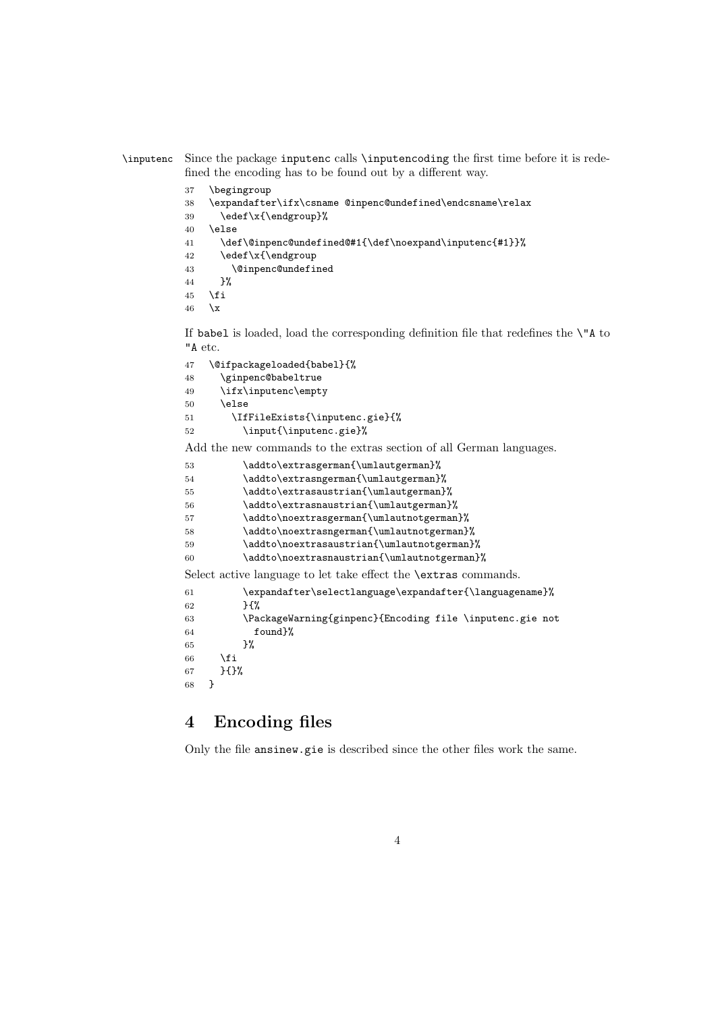\inputenc Since the package inputenc calls \inputencoding the first time before it is redefined the encoding has to be found out by a different way.

> \begingroup \expandafter\ifx\csname @inpenc@undefined\endcsname\relax \edef\x{\endgroup}% \else \def\@inpenc@undefined@#1{\def\noexpand\inputenc{#1}}% 42 \edef\x{\endgroup \@inpenc@undefined }% \fi  $46 \quad \forall x$

If babel is loaded, load the corresponding definition file that redefines the \"A to "A etc.

| \@ifpackageloaded{babel}{%     |
|--------------------------------|
| \ginpenc@babeltrue             |
| \ifx\inputenc\empty            |
| \else                          |
| \IfFileExists{\inputenc.gie}{% |
| \input{\inputenc.gie}%         |
|                                |

Add the new commands to the extras section of all German languages.

| 53 | \addto\extrasgerman{\umlautgerman}%                                    |
|----|------------------------------------------------------------------------|
| 54 | \addto\extrasngerman{\umlautgerman}%                                   |
| 55 | \addto\extrasaustrian{\umlautgerman}%                                  |
| 56 | \addto\extrasnaustrian{\umlautgerman}%                                 |
| 57 | \addto\noextrasgerman{\umlautnotgerman}%                               |
| 58 | \addto\noextrasngerman{\umlautnotgerman}%                              |
| 59 | \addto\noextrasaustrian{\umlautnotgerman}%                             |
| 60 | \addto\noextrasnaustrian{\umlautnotgerman}%                            |
|    | Select active language to let take effect the <b>\extras</b> commands. |
| 61 | \expandafter\selectlanguage\expandafter{\languagename}%                |
| 62 | ን የአ                                                                   |
| 63 | \PackageWarning{ginpenc}{Encoding file \inputenc.gie not               |
| 64 | found}%                                                                |
| 65 | ጉ%                                                                     |
| 66 | \fi                                                                    |
| 67 | ን የአ                                                                   |

}

## 4 Encoding files

Only the file ansinew.gie is described since the other files work the same.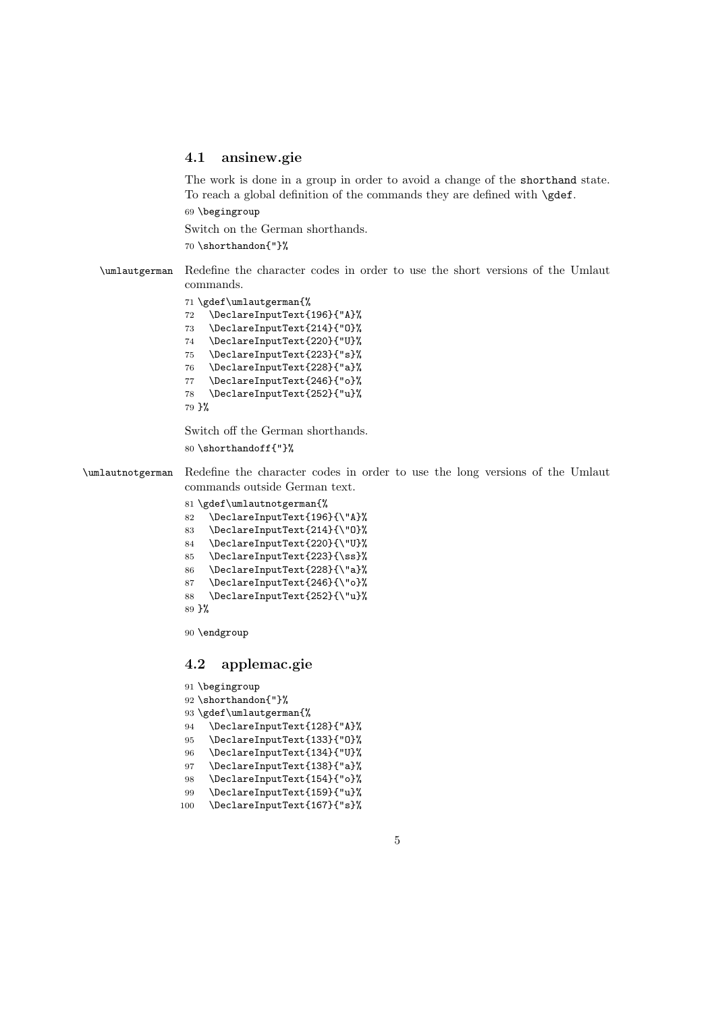#### 4.1 ansinew.gie

The work is done in a group in order to avoid a change of the shorthand state. To reach a global definition of the commands they are defined with \gdef.

\begingroup

Switch on the German shorthands.

\shorthandon{"}%

\umlautgerman Redefine the character codes in order to use the short versions of the Umlaut commands.

\gdef\umlautgerman{%

 \DeclareInputText{196}{"A}% \DeclareInputText{214}{"O}% \DeclareInputText{220}{"U}% \DeclareInputText{223}{"s}% \DeclareInputText{228}{"a}% \DeclareInputText{246}{"o}% \DeclareInputText{252}{"u}% }%

Switch off the German shorthands. \shorthandoff{"}%

\umlautnotgerman Redefine the character codes in order to use the long versions of the Umlaut commands outside German text.

- \gdef\umlautnotgerman{%
- \DeclareInputText{196}{\"A}%
- \DeclareInputText{214}{\"O}%
- \DeclareInputText{220}{\"U}%
- 85 \DeclareInputText{223}{\ss}%
- \DeclareInputText{228}{\"a}%
- \DeclareInputText{246}{\"o}%
- \DeclareInputText{252}{\"u}%

}%

\endgroup

#### 4.2 applemac.gie

```
91 \begingroup
92 \shorthandon{"}%
93 \gdef\umlautgerman{%
94 \DeclareInputText{128}{"A}%
95 \DeclareInputText{133}{"O}%
96 \DeclareInputText{134}{"U}%
97 \DeclareInputText{138}{"a}%
98 \DeclareInputText{154}{"o}%
99 \DeclareInputText{159}{"u}%
100 \DeclareInputText{167}{"s}%
```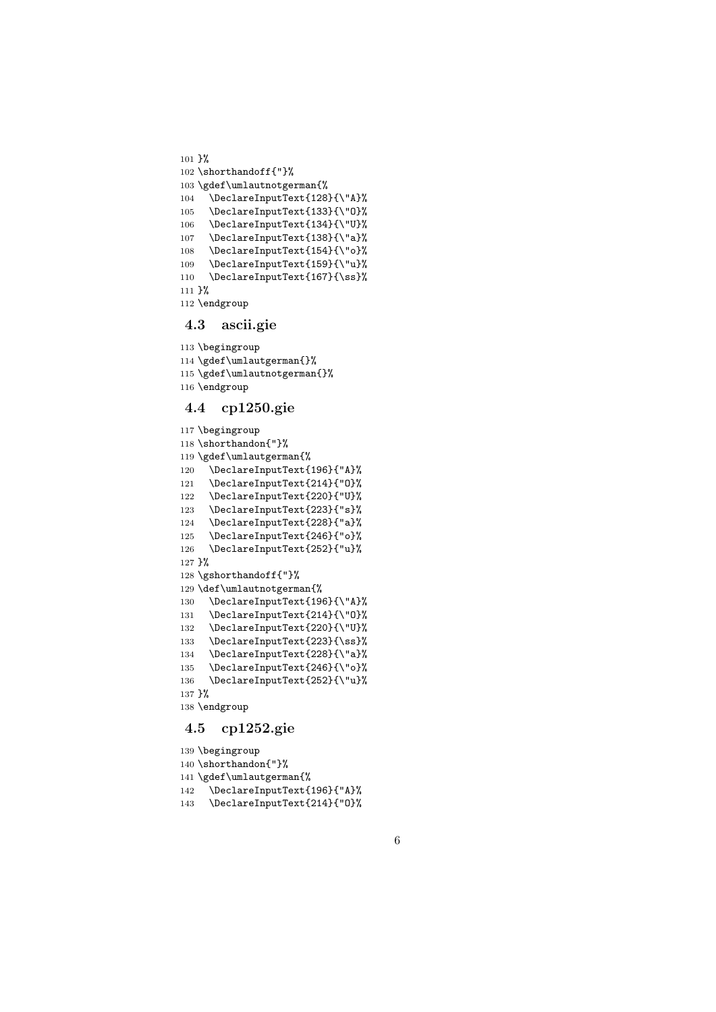```
101 }%
102 \shorthandoff{"}%
103 \gdef\umlautnotgerman{%
104 \DeclareInputText{128}{\"A}%
105 \DeclareInputText{133}{\"O}%
106 \DeclareInputText{134}{\"U}%
107 \DeclareInputText{138}{\"a}%
108 \DeclareInputText{154}{\"o}%
109 \DeclareInputText{159}{\"u}%
110 \DeclareInputText{167}{\ss}%
111 }%
112 \endgroup
```
#### 4.3 ascii.gie

```
113 \begingroup
114 \gdef\umlautgerman{}%
115 \gdef\umlautnotgerman{}%
116 \endgroup
```
#### 4.4 cp1250.gie

```
117 \begingroup
118 \shorthandon{"}%
119 \gdef\umlautgerman{%
120 \DeclareInputText{196}{"A}%
121 \DeclareInputText{214}{"O}%
122 \DeclareInputText{220}{"U}%
123 \DeclareInputText{223}{"s}%
124 \DeclareInputText{228}{"a}%
125 \DeclareInputText{246}{"o}%
126 \DeclareInputText{252}{"u}%
127 }%
128 \gshorthandoff{"}%
129 \def\umlautnotgerman{%
130 \DeclareInputText{196}{\"A}%
131 \DeclareInputText{214}{\"O}%
132 \DeclareInputText{220}{\"U}%
133 \DeclareInputText{223}{\ss}%
134 \DeclareInputText{228}{\"a}%
135 \DeclareInputText{246}{\"o}%
136 \DeclareInputText{252}{\"u}%
137 }%
138 \endgroup
```
### 4.5 cp1252.gie

```
139 \begingroup
140 \shorthandon{"}%
141 \gdef\umlautgerman{%
142 \DeclareInputText{196}{"A}%
143 \DeclareInputText{214}{"O}%
```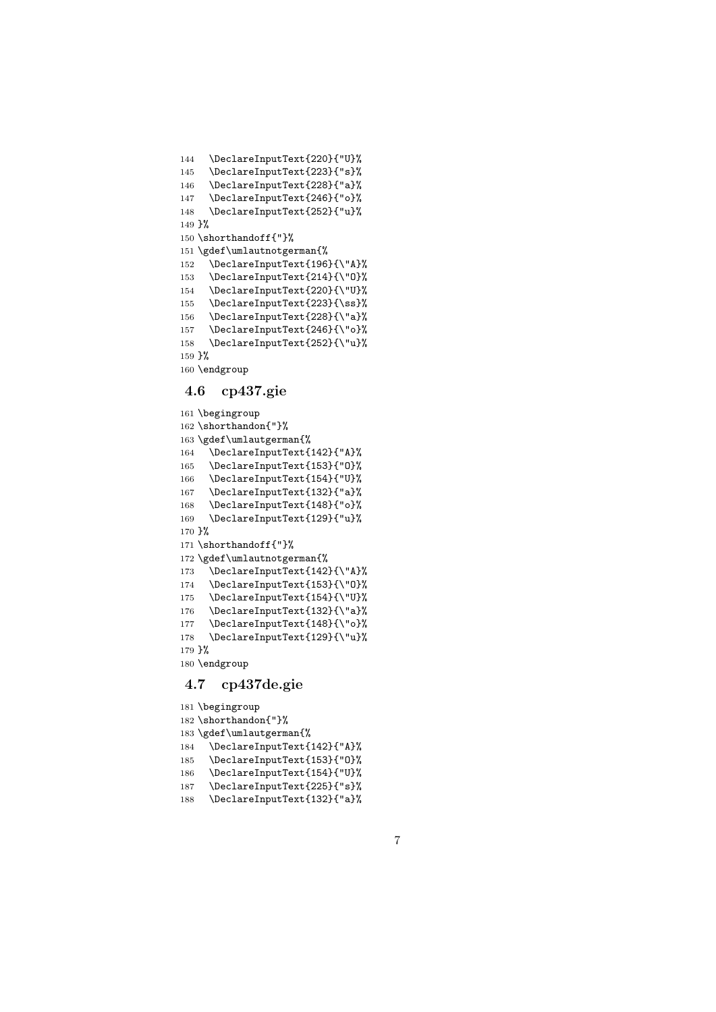```
144 \DeclareInputText{220}{"U}%
145 \DeclareInputText{223}{"s}%
146 \DeclareInputText{228}{"a}%
147 \DeclareInputText{246}{"o}%
148 \DeclareInputText{252}{"u}%
149 }%
150 \shorthandoff{"}%
151 \gdef\umlautnotgerman{%
152 \DeclareInputText{196}{\"A}%
153 \DeclareInputText{214}{\"O}%
154 \DeclareInputText{220}{\"U}%
155 \DeclareInputText{223}{\ss}%
156 \DeclareInputText{228}{\"a}%
157 \DeclareInputText{246}{\"o}%
158 \DeclareInputText{252}{\"u}%
159 }%
160 \endgroup
```
#### 4.6 cp437.gie

```
161 \begingroup
162 \shorthandon{"}%
163 \gdef\umlautgerman{%
164 \DeclareInputText{142}{"A}%
165 \DeclareInputText{153}{"O}%
166 \DeclareInputText{154}{"U}%
167 \DeclareInputText{132}{"a}%
168 \DeclareInputText{148}{"o}%
169 \DeclareInputText{129}{"u}%
170 }%
171 \shorthandoff{"}%
172 \gdef\umlautnotgerman{%
173 \DeclareInputText{142}{\"A}%
174 \DeclareInputText{153}{\"O}%
175 \DeclareInputText{154}{\"U}%
176 \DeclareInputText{132}{\"a}%
177 \DeclareInputText{148}{\"o}%
178 \DeclareInputText{129}{\"u}%
179 }%
180 \endgroup
```
#### 4.7 cp437de.gie

```
181 \begingroup
182 \shorthandon{"}%
183 \gdef\umlautgerman{%
184 \DeclareInputText{142}{"A}%
185 \DeclareInputText{153}{"O}%
186 \DeclareInputText{154}{"U}%
187 \DeclareInputText{225}{"s}%
188 \DeclareInputText{132}{"a}%
```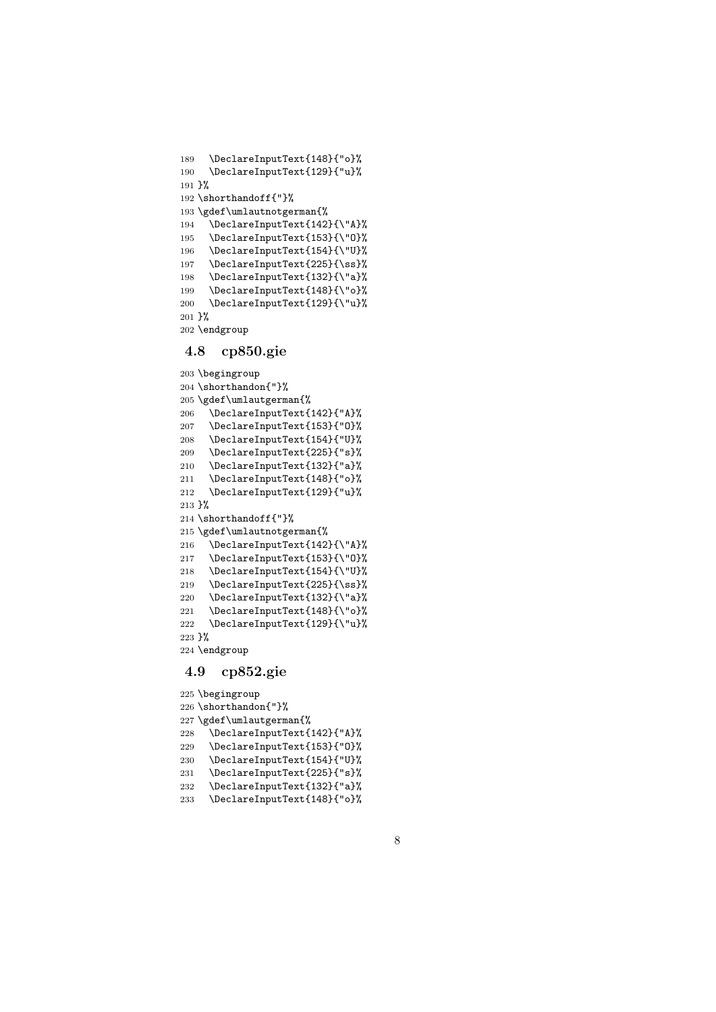```
189 \DeclareInputText{148}{"o}%
190 \DeclareInputText{129}{"u}%
191 }%
192 \shorthandoff{"}%
193 \gdef\umlautnotgerman{%
194 \DeclareInputText{142}{\"A}%
195 \DeclareInputText{153}{\"O}%
196 \DeclareInputText{154}{\"U}%
197 \DeclareInputText{225}{\ss}%
198 \DeclareInputText{132}{\"a}%
199 \DeclareInputText{148}{\"o}%
200 \DeclareInputText{129}{\"u}%
201 }%
202 \endgroup
```
#### 4.8 cp850.gie

```
203 \begingroup
204 \shorthandon{"}%
205 \gdef\umlautgerman{%
206 \DeclareInputText{142}{"A}%
207 \DeclareInputText{153}{"O}%
208 \DeclareInputText{154}{"U}%
209 \DeclareInputText{225}{"s}%
210 \DeclareInputText{132}{"a}%
211 \DeclareInputText{148}{"o}%
212 \DeclareInputText{129}{"u}%
213 }%
214 \shorthandoff{"}%
215 \gdef\umlautnotgerman{%
216 \DeclareInputText{142}{\"A}%
217 \DeclareInputText{153}{\"O}%
218 \DeclareInputText{154}{\"U}%
219 \DeclareInputText{225}{\ss}%
220 \DeclareInputText{132}{\"a}%
221 \DeclareInputText{148}{\"o}%
222 \DeclareInputText{129}{\"u}%
223 }%
224 \endgroup
```
#### 4.9 cp852.gie

```
225 \begingroup
226 \shorthandon{"}%
227 \gdef\umlautgerman{%
228 \DeclareInputText{142}{"A}%
229 \DeclareInputText{153}{"O}%
230 \DeclareInputText{154}{"U}%
231 \DeclareInputText{225}{"s}%
232 \DeclareInputText{132}{"a}%
233 \DeclareInputText{148}{"o}%
```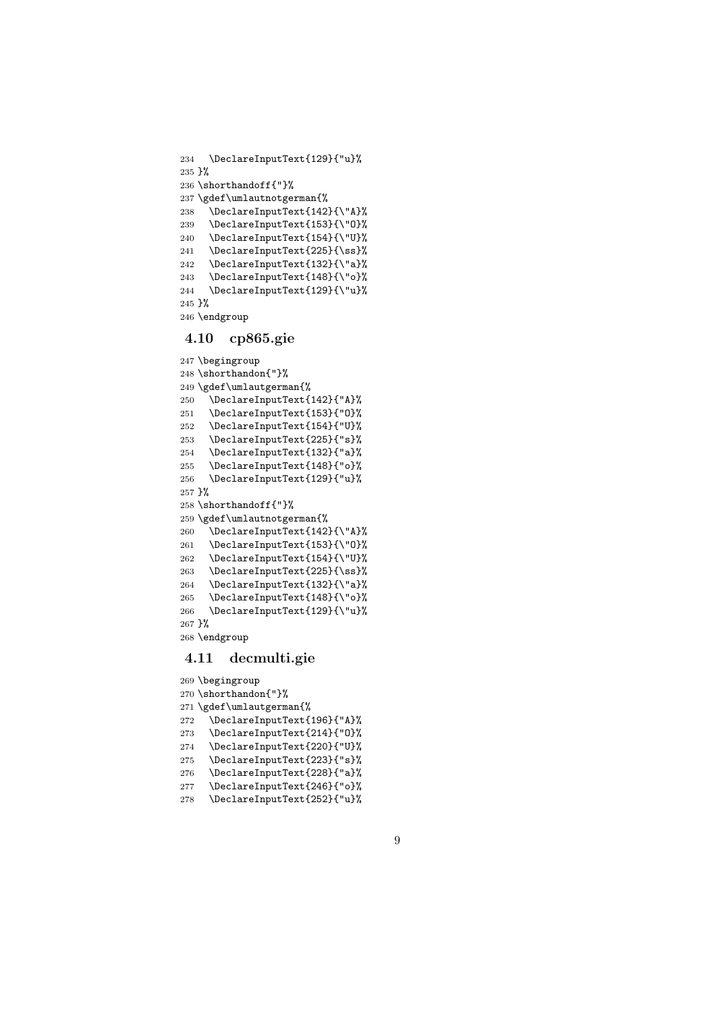```
234 \DeclareInputText{129}{"u}%
235 }%
236 \shorthandoff{"}%
237 \gdef\umlautnotgerman{%
238 \DeclareInputText{142}{\"A}%
239 \DeclareInputText{153}{\"O}%
240 \DeclareInputText{154}{\"U}%
241 \DeclareInputText{225}{\ss}%
242 \DeclareInputText{132}{\"a}%
243 \DeclareInputText{148}{\"o}%
244 \DeclareInputText{129}{\"u}%
245 }%
246 \endgroup
```
#### 4.10 cp865.gie

```
247 \begingroup
248 \shorthandon{"}%
249 \gdef\umlautgerman{%
250 \DeclareInputText{142}{"A}%
251 \DeclareInputText{153}{"O}%
252 \DeclareInputText{154}{"U}%
253 \DeclareInputText{225}{"s}%
254 \DeclareInputText{132}{"a}%
255 \DeclareInputText{148}{"o}%
256 \DeclareInputText{129}{"u}%
257 }%
258 \shorthandoff{"}%
259 \gdef\umlautnotgerman{%
260 \DeclareInputText{142}{\"A}%
261 \DeclareInputText{153}{\"O}%
262 \DeclareInputText{154}{\"U}%
263 \DeclareInputText{225}{\ss}%
264 \DeclareInputText{132}{\"a}%
265 \DeclareInputText{148}{\"o}%
266 \DeclareInputText{129}{\"u}%
267 }%
268 \endgroup
```
#### 4.11 decmulti.gie

```
269 \begingroup
270 \shorthandon{"}%
271 \gdef\umlautgerman{%
272 \DeclareInputText{196}{"A}%
273 \DeclareInputText{214}{"O}%
274 \DeclareInputText{220}{"U}%
275 \DeclareInputText{223}{"s}%
276 \DeclareInputText{228}{"a}%
277 \DeclareInputText{246}{"o}%
278 \DeclareInputText{252}{"u}%
```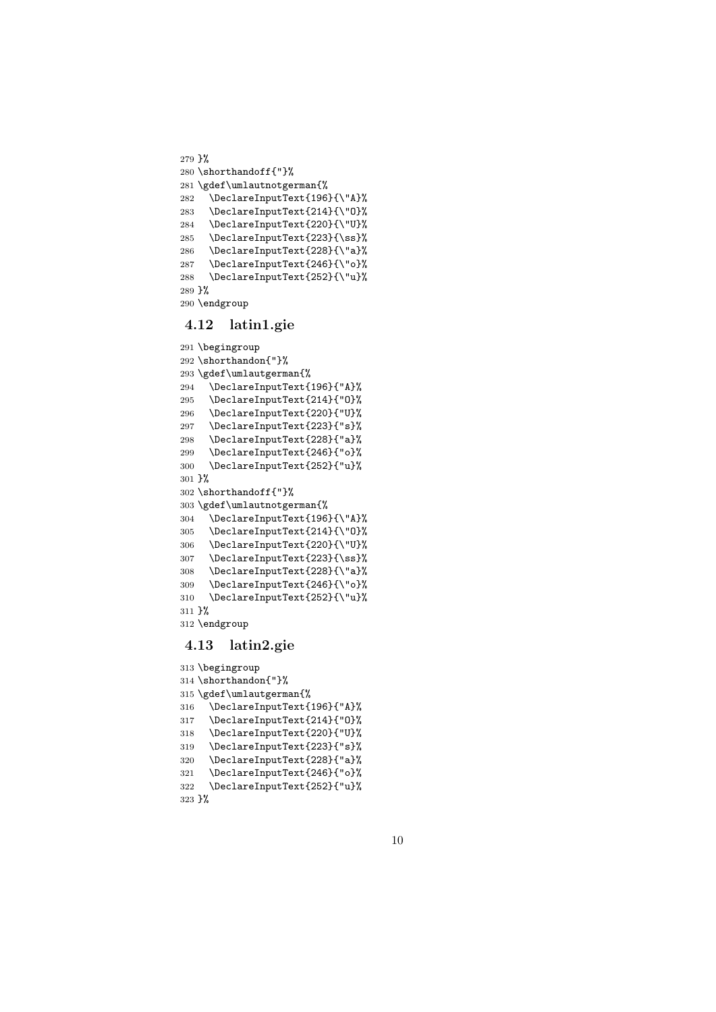```
279 }%
280 \shorthandoff{"}%
281 \gdef\umlautnotgerman{%
282 \DeclareInputText{196}{\"A}%
283 \DeclareInputText{214}{\"O}%
284 \DeclareInputText{220}{\"U}%
285 \DeclareInputText{223}{\ss}%
286 \DeclareInputText{228}{\"a}%
287 \DeclareInputText{246}{\"o}%
288 \DeclareInputText{252}{\"u}%
289 }%
290 \endgroup
```
## 4.12 latin1.gie

```
291 \begingroup
292 \shorthandon{"}%
293 \gdef\umlautgerman{%
294 \DeclareInputText{196}{"A}%
295 \DeclareInputText{214}{"O}%
296 \DeclareInputText{220}{"U}%
297 \DeclareInputText{223}{"s}%
298 \DeclareInputText{228}{"a}%
299 \DeclareInputText{246}{"o}%
300 \DeclareInputText{252}{"u}%
301 }%
302 \shorthandoff{"}%
303 \gdef\umlautnotgerman{%
304 \DeclareInputText{196}{\"A}%
305 \DeclareInputText{214}{\"O}%
306 \DeclareInputText{220}{\"U}%
307 \DeclareInputText{223}{\ss}%
308 \DeclareInputText{228}{\"a}%
309 \DeclareInputText{246}{\"o}%
310 \DeclareInputText{252}{\"u}%
311 }%
312 \endgroup
```
#### 4.13 latin2.gie

```
313 \begingroup
314 \shorthandon{"}%
315 \gdef\umlautgerman{%
316 \DeclareInputText{196}{"A}%
317 \DeclareInputText{214}{"O}%
318 \DeclareInputText{220}{"U}%
319 \DeclareInputText{223}{"s}%
320 \DeclareInputText{228}{"a}%
321 \DeclareInputText{246}{"o}%
322 \DeclareInputText{252}{"u}%
323 }%
```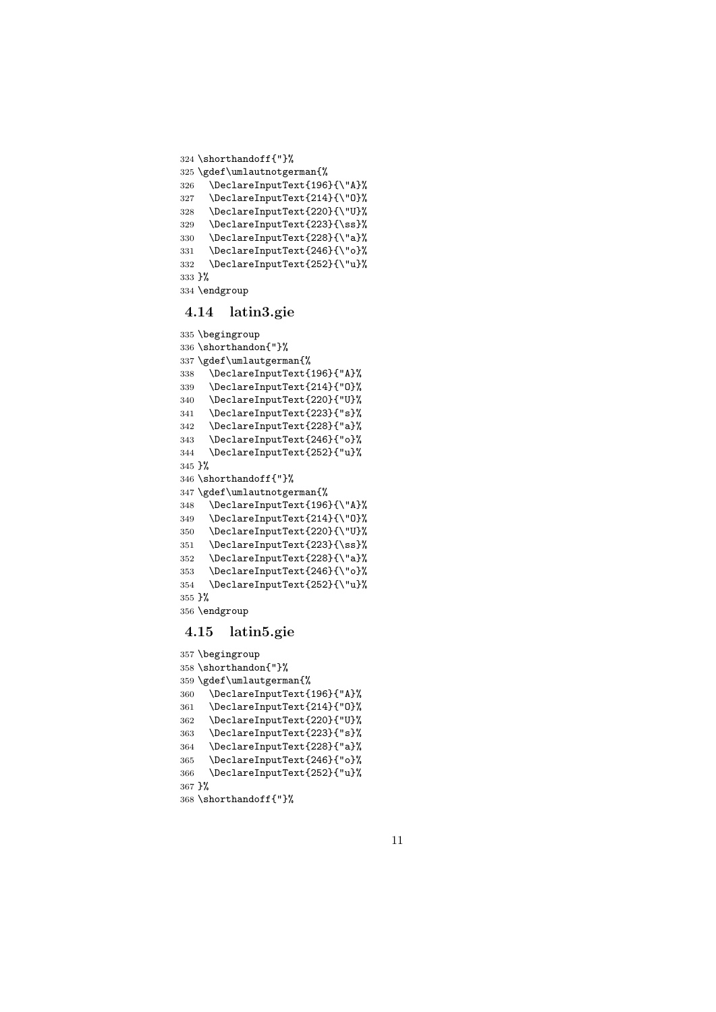```
324 \shorthandoff{"}%
325 \gdef\umlautnotgerman{%
326 \DeclareInputText{196}{\"A}%
327 \DeclareInputText{214}{\"O}%
328 \DeclareInputText{220}{\"U}%
329 \DeclareInputText{223}{\ss}%
330 \DeclareInputText{228}{\"a}%
331 \DeclareInputText{246}{\"o}%
332 \DeclareInputText{252}{\"u}%
333 }%
334 \endgroup
```
#### 4.14 latin3.gie

```
335 \begingroup
336 \shorthandon{"}%
337 \gdef\umlautgerman{%
338 \DeclareInputText{196}{"A}%
339 \DeclareInputText{214}{"0}%<br>340 \DeclareInputText{220}{"II}%
     340 \DeclareInputText{220}{"U}%
341 \DeclareInputText{223}{"s}%
342 \DeclareInputText{228}{"a}%
343 \DeclareInputText{246}{"o}%
344 \DeclareInputText{252}{"u}%
345 }%
346 \shorthandoff{"}%
347 \gdef\umlautnotgerman{%
348 \DeclareInputText{196}{\"A}%
349 \DeclareInputText{214}{\"O}%
350 \DeclareInputText{220}{\"U}%
351 \DeclareInputText{223}{\ss}%
352 \DeclareInputText{228}{\"a}%
353 \DeclareInputText{246}{\"o}%
354 \DeclareInputText{252}{\"u}%
355 }%
356 \endgroup
```
#### 4.15 latin5.gie

```
357 \begingroup
358 \shorthandon{"}%
359 \gdef\umlautgerman{%
360 \DeclareInputText{196}{"A}%
361 \DeclareInputText{214}{"O}%
362 \DeclareInputText{220}{"U}%
363 \DeclareInputText{223}{"s}%
364 \DeclareInputText{228}{"a}%
365 \DeclareInputText{246}{"o}%
366 \DeclareInputText{252}{"u}%
367 }%
368 \shorthandoff{"}%
```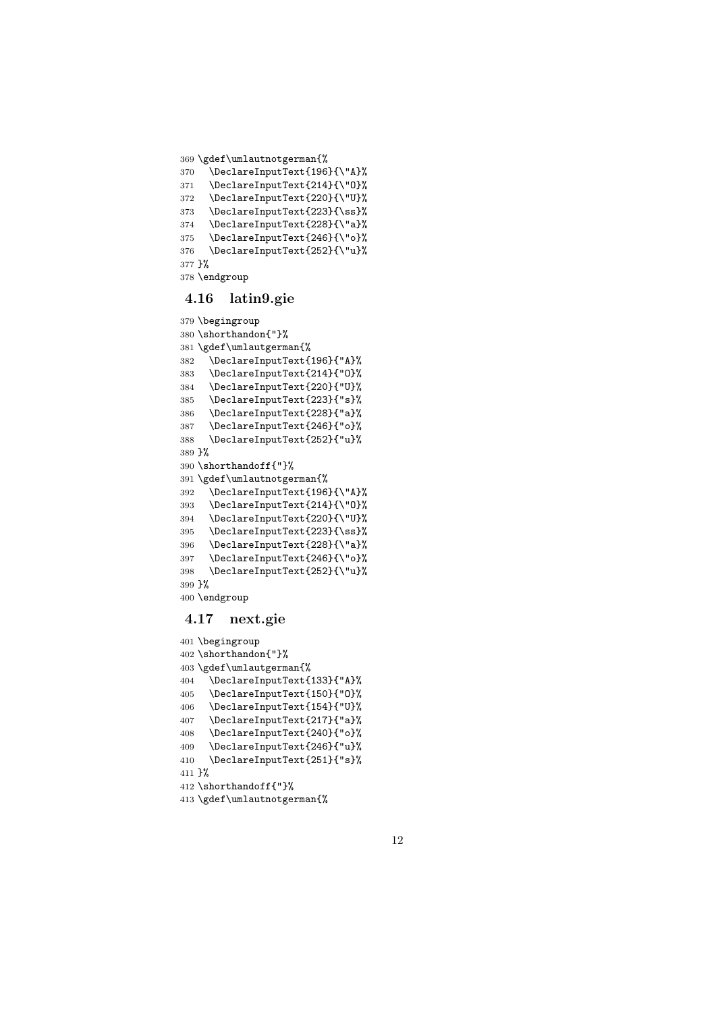```
369 \gdef\umlautnotgerman{%
```

```
370 \DeclareInputText{196}{\"A}%
371 \DeclareInputText{214}{\"O}%
372 \DeclareInputText{220}{\"U}%
373 \DeclareInputText{223}{\ss}%
374 \DeclareInputText{228}{\"a}%
375 \DeclareInputText{246}{\"o}%
376 \DeclareInputText{252}{\"u}%
377 }%
378 \endgroup
```
#### 4.16 latin9.gie

```
379 \begingroup
380 \shorthandon{"}%
381 \gdef\umlautgerman{%
382 \DeclareInputText{196}{"A}%
383 \DeclareInputText{214}{"O}%
384 \DeclareInputText{220}{"U}%
385 \DeclareInputText{223}{"s}%
386 \DeclareInputText{228}{"a}%
387 \DeclareInputText{246}{"o}%
388 \DeclareInputText{252}{"u}%
389 }%
390 \shorthandoff{"}%
391 \gdef\umlautnotgerman{%
392 \DeclareInputText{196}{\"A}%
393 \DeclareInputText{214}{\"O}%
394 \DeclareInputText{220}{\"U}%
395 \DeclareInputText{223}{\ss}%
396 \DeclareInputText{228}{\"a}%
397 \DeclareInputText{246}{\"o}%
398 \DeclareInputText{252}{\"u}%
399 }%
400 \endgroup
```
### 4.17 next.gie

```
401 \begingroup
402 \shorthandon{"}%
403 \gdef\umlautgerman{%
404 \DeclareInputText{133}{"A}%
405 \DeclareInputText{150}{"O}%
406 \DeclareInputText{154}{"U}%
407 \DeclareInputText{217}{"a}%
408 \DeclareInputText{240}{"o}%
409 \DeclareInputText{246}{"u}%
410 \DeclareInputText{251}{"s}%
411 }%
412 \shorthandoff{"}%
```

```
413 \gdef\umlautnotgerman{%
```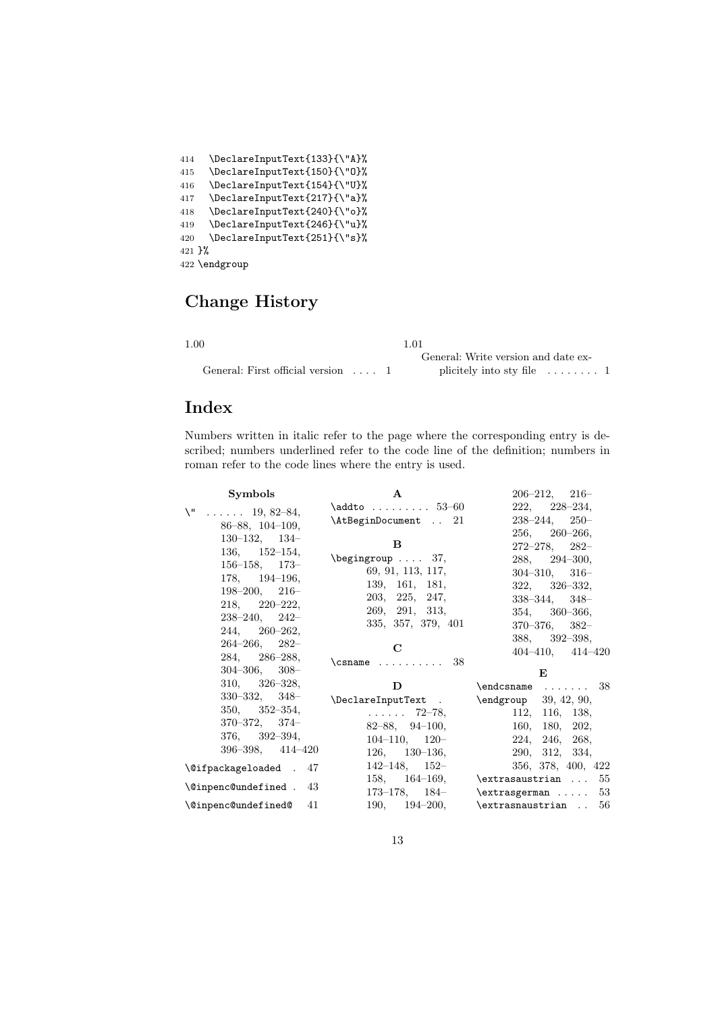| 414                 | \DeclareInputText{133}{\"A}% |
|---------------------|------------------------------|
| 415                 | \DeclareInputText{150}{\"0}% |
| 416                 | \DeclareInputText{154}{\"U}% |
| 417                 | \DeclareInputText{217}{\"a}% |
| 418                 | \DeclareInputText{240}{\"o}% |
| 419                 | \DeclareInputText{246}{\"u}% |
| 420                 | \DeclareInputText{251}{\"s}% |
| $421$ $\frac{1}{6}$ |                              |
|                     | 422 \endgroup                |

# Change History

| ۰,<br>I<br>× |  |
|--------------|--|

General: First official version . . . . 1 1.01 General: Write version and date explicitely into sty file  $\quad \ldots \ldots \ldots \; 1$ 

## Index

Numbers written in italic refer to the page where the corresponding entry is described; numbers underlined refer to the code line of the definition; numbers in roman refer to the code lines where the entry is used.

| <b>Symbols</b>                                                                                                                                                                                                                           | $\mathbf{A}$                                                                                                                                                                                    | $206 - 212, 216 -$                                                                                                                                                                                                                                                  |
|------------------------------------------------------------------------------------------------------------------------------------------------------------------------------------------------------------------------------------------|-------------------------------------------------------------------------------------------------------------------------------------------------------------------------------------------------|---------------------------------------------------------------------------------------------------------------------------------------------------------------------------------------------------------------------------------------------------------------------|
| \ "<br>$\ldots$ $19, 82-84,$<br>$86 - 88$ , $104 - 109$ ,<br>$130-132$ , $134-$<br>$136, \quad 152 - 154,$<br>$156 - 158$ , $173 -$<br>$178, 194-196,$                                                                                   | $\Delta t$ o $53-60$<br>\AtBeginDocument  21<br><sub>B</sub><br>$\begin{bmatrix} \begin{array}{ccc} \text{begin} \text{array} \end{array} \end{bmatrix}$<br>69, 91, 113, 117,<br>139, 161, 181, | $222, 228 - 234,$<br>$238 - 244$ , $250 -$<br>$256, 260 - 266,$<br>$272 - 278$ , $282 -$<br>$288, 294 - 300,$<br>$304 - 310, 316 -$<br>$322, \quad 326 - 332,$                                                                                                      |
| $198 - 200, 216 -$<br>$218, \quad 220 - 222,$<br>$238 - 240$ , $242 -$<br>$244, 260 - 262,$<br>$264 - 266$ , $282 -$<br>284, 286–288,<br>$304 - 306$ , $308 -$                                                                           | 203, 225, 247,<br>269, 291, 313,<br>335, 357, 379, 401<br>$\mathbf C$<br>$\Gamma \ldots \ldots \quad 38$                                                                                        | $338 - 344$ , $348 -$<br>$354, 360 - 366,$<br>$370 - 376$ , $382 -$<br>$388, 392 - 398,$<br>$404-410, 414-420$<br>E                                                                                                                                                 |
| $310, 326 - 328,$<br>$330 - 332, 348 -$<br>$350, \quad 352 - 354,$<br>$370 - 372, 374 -$<br>$376, \quad 392 - 394,$<br>$396 - 398$ , $414 - 420$<br>\@ifpackageloaded . 47<br>$\Diamond$ inpenc@undefined . 43<br>\@inpenc@undefined@ 41 | D.<br>\DeclareInputText . \endgroup 39, 42, 90,<br>. 72–78,<br>$82 - 88$ , $94 - 100$ ,<br>$104-110, 120-$<br>$126, 130-136,$                                                                   | $\end{math}$ 38<br>112, 116, 138,<br>160, 180, 202,<br>224, 246, 268,<br>290, 312, 334,<br>$142-148$ , $152 356$ , $378$ , $400$ , $422$<br>158, $164-169$ , \extrasaustrian  55<br>173-178, $184-$ \extrasgerman  53<br>190, $194-200$ , $\text{crasnaustrian}$ 56 |